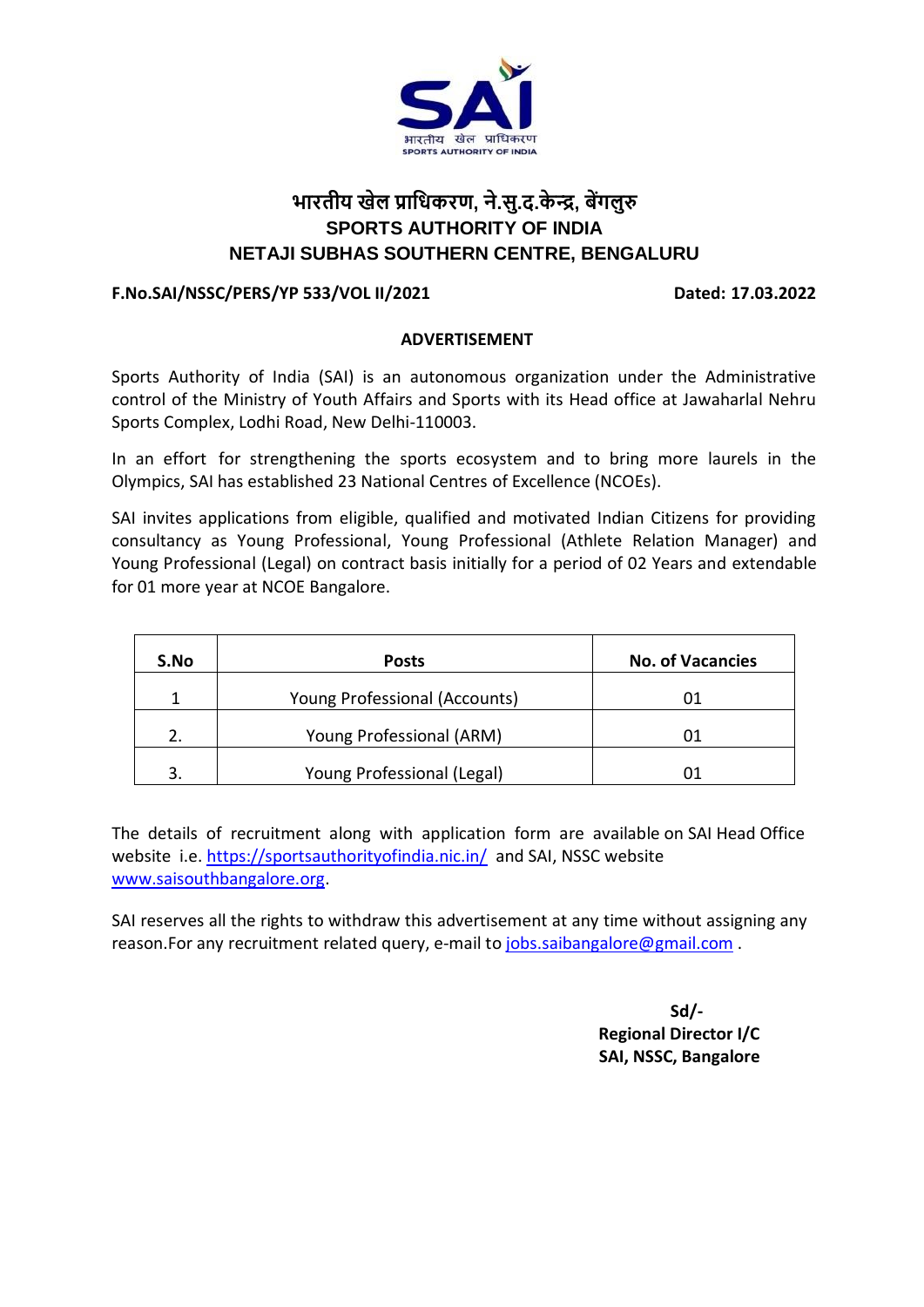

# **भारतीय खेल प्राधिकरण, ने.सु.द.के न्द्र, बेंगलुरु SPORTS AUTHORITY OF INDIA NETAJI SUBHAS SOUTHERN CENTRE, BENGALURU**

## **F.No.SAI/NSSC/PERS/YP 533/VOL II/2021 Dated: 17.03.2022**

#### **ADVERTISEMENT**

Sports Authority of India (SAI) is an autonomous organization under the Administrative control of the Ministry of Youth Affairs and Sports with its Head office at Jawaharlal Nehru Sports Complex, Lodhi Road, New Delhi-110003.

In an effort for strengthening the sports ecosystem and to bring more laurels in the Olympics, SAI has established 23 National Centres of Excellence (NCOEs).

SAI invites applications from eligible, qualified and motivated Indian Citizens for providing consultancy as Young Professional, Young Professional (Athlete Relation Manager) and Young Professional (Legal) on contract basis initially for a period of 02 Years and extendable for 01 more year at NCOE Bangalore.

| S.No | <b>Posts</b>                  | <b>No. of Vacancies</b> |
|------|-------------------------------|-------------------------|
|      | Young Professional (Accounts) | 01                      |
|      | Young Professional (ARM)      | ()1                     |
| 3    | Young Professional (Legal)    |                         |

The details of recruitment along with application form are available on SAI Head Office website i.e.<https://sportsauthorityofindia.nic.in/>and SAI, NSSC website [www.saisouthbangalore.org.](http://www.saisouthbangalore.org/)

SAI reserves all the rights to withdraw this advertisement at any time without assigning any reason.For any recruitment related query, e-mail to [jobs.saibangalore@gmail.com](mailto:jobs.saibangalore@gmail.com) [.](mailto:kheloindiarecruitment@gmail.com)

> **Sd/- Regional Director I/C SAI, NSSC, Bangalore**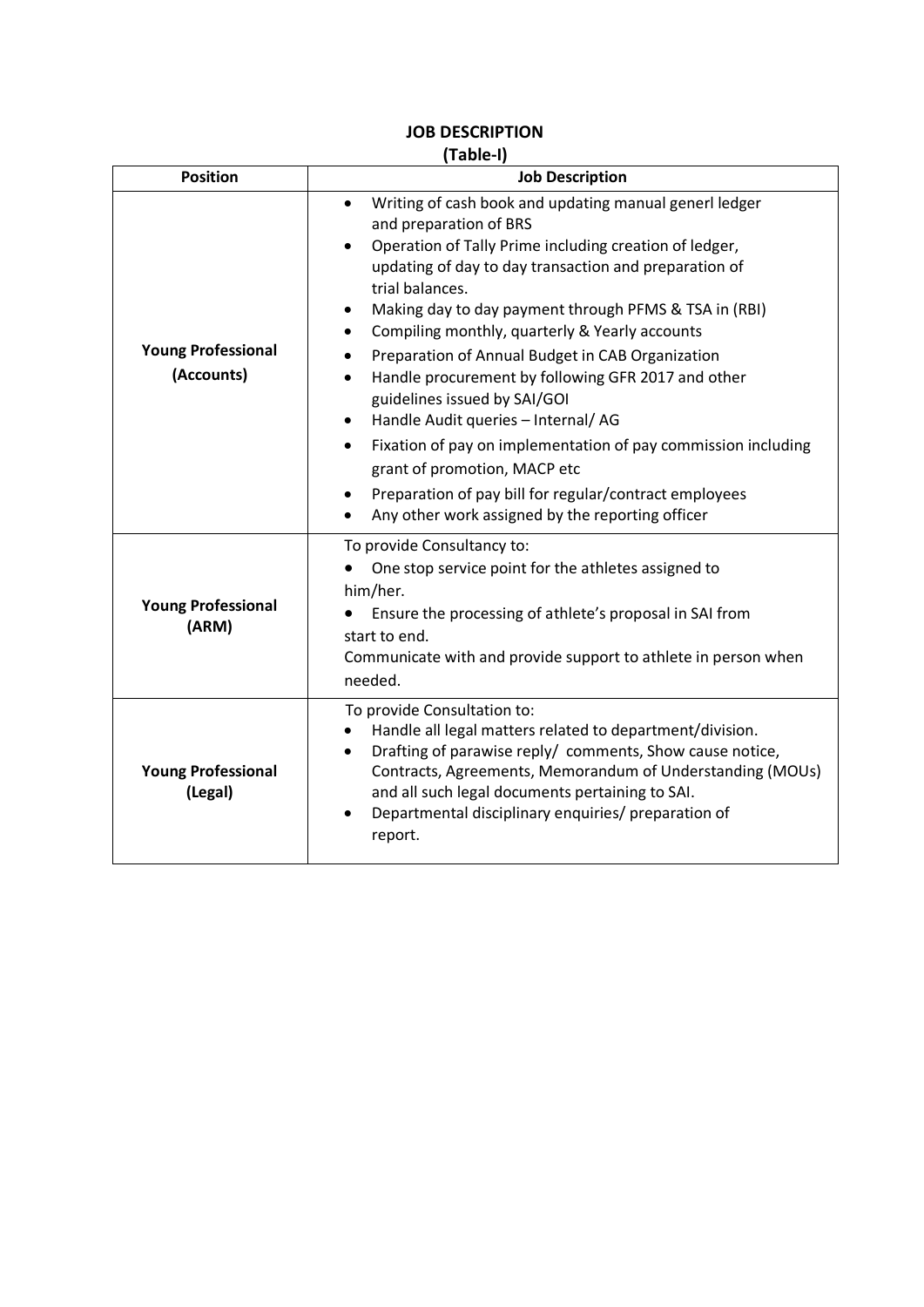| (Table-I)<br><b>Position</b><br><b>Job Description</b> |                                                                                                                                                                                                                                                                                                                                                                                                                                                                                                                                                                                                                                                                        |  |  |
|--------------------------------------------------------|------------------------------------------------------------------------------------------------------------------------------------------------------------------------------------------------------------------------------------------------------------------------------------------------------------------------------------------------------------------------------------------------------------------------------------------------------------------------------------------------------------------------------------------------------------------------------------------------------------------------------------------------------------------------|--|--|
|                                                        |                                                                                                                                                                                                                                                                                                                                                                                                                                                                                                                                                                                                                                                                        |  |  |
| <b>Young Professional</b><br>(Accounts)                | Writing of cash book and updating manual generl ledger<br>$\bullet$<br>and preparation of BRS<br>Operation of Tally Prime including creation of ledger,<br>updating of day to day transaction and preparation of<br>trial balances.<br>Making day to day payment through PFMS & TSA in (RBI)<br>$\bullet$<br>Compiling monthly, quarterly & Yearly accounts<br>$\bullet$<br>Preparation of Annual Budget in CAB Organization<br>Handle procurement by following GFR 2017 and other<br>guidelines issued by SAI/GOI<br>Handle Audit queries - Internal/AG<br>Fixation of pay on implementation of pay commission including<br>$\bullet$<br>grant of promotion, MACP etc |  |  |
|                                                        | Preparation of pay bill for regular/contract employees                                                                                                                                                                                                                                                                                                                                                                                                                                                                                                                                                                                                                 |  |  |
|                                                        | Any other work assigned by the reporting officer                                                                                                                                                                                                                                                                                                                                                                                                                                                                                                                                                                                                                       |  |  |
| <b>Young Professional</b><br>(ARM)                     | To provide Consultancy to:<br>One stop service point for the athletes assigned to<br>him/her.<br>Ensure the processing of athlete's proposal in SAI from<br>start to end.<br>Communicate with and provide support to athlete in person when<br>needed.                                                                                                                                                                                                                                                                                                                                                                                                                 |  |  |
| <b>Young Professional</b><br>(Legal)                   | To provide Consultation to:<br>Handle all legal matters related to department/division.<br>Drafting of parawise reply/ comments, Show cause notice,<br>Contracts, Agreements, Memorandum of Understanding (MOUs)<br>and all such legal documents pertaining to SAI.<br>Departmental disciplinary enquiries/ preparation of<br>$\bullet$<br>report.                                                                                                                                                                                                                                                                                                                     |  |  |

# **JOB DESCRIPTION**

**(Table-I)**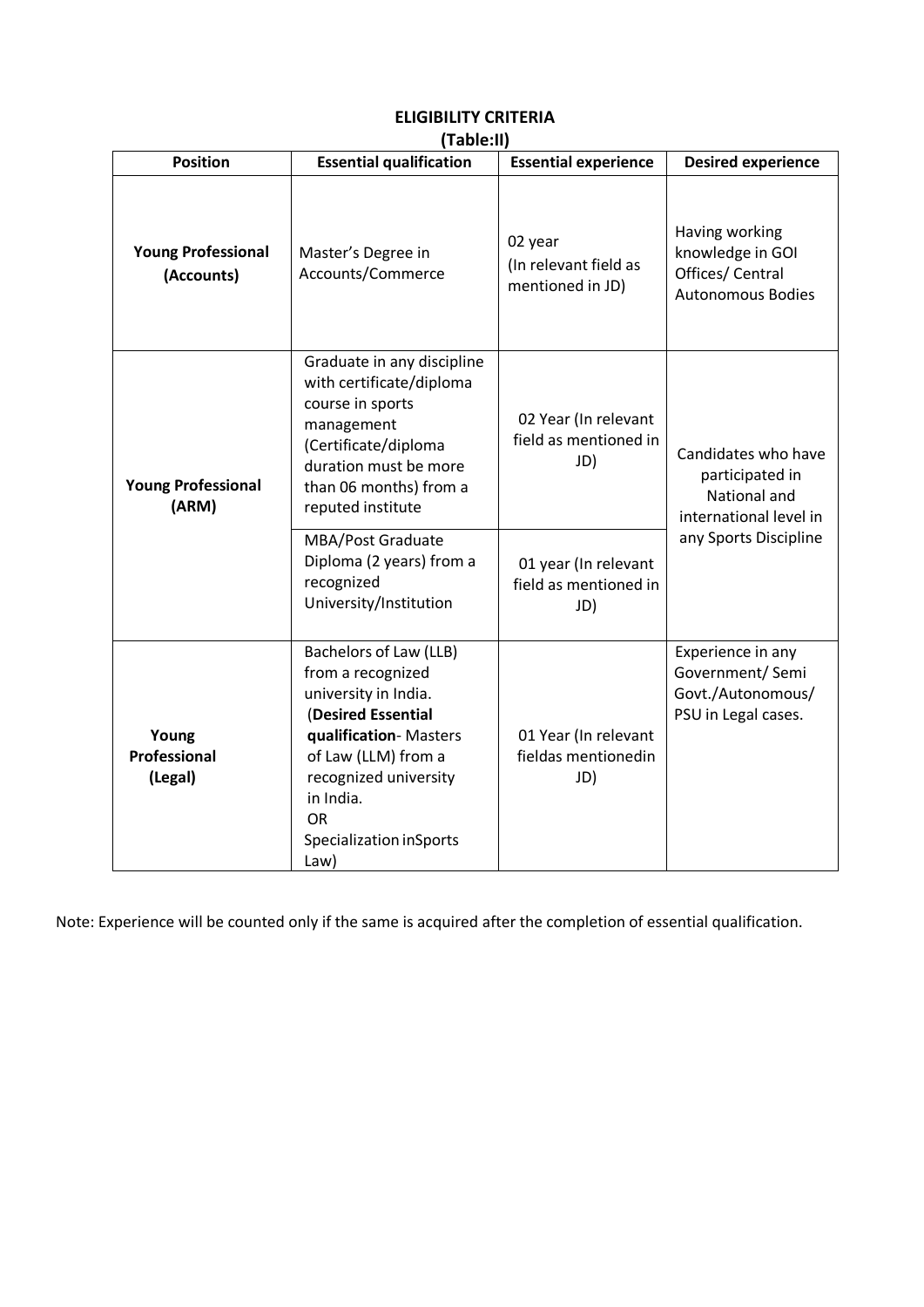| <b>Position</b>                         | 11.001 C.II<br><b>Essential qualification</b>                                                                                                                                                                                   | <b>Essential experience</b>                          | <b>Desired experience</b>                                                                                 |  |
|-----------------------------------------|---------------------------------------------------------------------------------------------------------------------------------------------------------------------------------------------------------------------------------|------------------------------------------------------|-----------------------------------------------------------------------------------------------------------|--|
| <b>Young Professional</b><br>(Accounts) | Master's Degree in<br>Accounts/Commerce                                                                                                                                                                                         | 02 year<br>(In relevant field as<br>mentioned in JD) | Having working<br>knowledge in GOI<br>Offices/ Central<br><b>Autonomous Bodies</b>                        |  |
| <b>Young Professional</b><br>(ARM)      | Graduate in any discipline<br>with certificate/diploma<br>course in sports<br>management<br>(Certificate/diploma<br>duration must be more<br>than 06 months) from a<br>reputed institute                                        | 02 Year (In relevant<br>field as mentioned in<br>JD) | Candidates who have<br>participated in<br>National and<br>international level in<br>any Sports Discipline |  |
|                                         | MBA/Post Graduate<br>Diploma (2 years) from a<br>recognized<br>University/Institution                                                                                                                                           | 01 year (In relevant<br>field as mentioned in<br>JD) |                                                                                                           |  |
| Young<br>Professional<br>(Legal)        | Bachelors of Law (LLB)<br>from a recognized<br>university in India.<br>(Desired Essential<br>qualification-Masters<br>of Law (LLM) from a<br>recognized university<br>in India.<br><b>OR</b><br>Specialization inSports<br>Law) | 01 Year (In relevant<br>fieldas mentionedin<br>JD)   | Experience in any<br>Government/ Semi<br>Govt./Autonomous/<br>PSU in Legal cases.                         |  |

#### **ELIGIBILITY CRITERIA (Table:II)**

Note: Experience will be counted only if the same is acquired after the completion of essential qualification.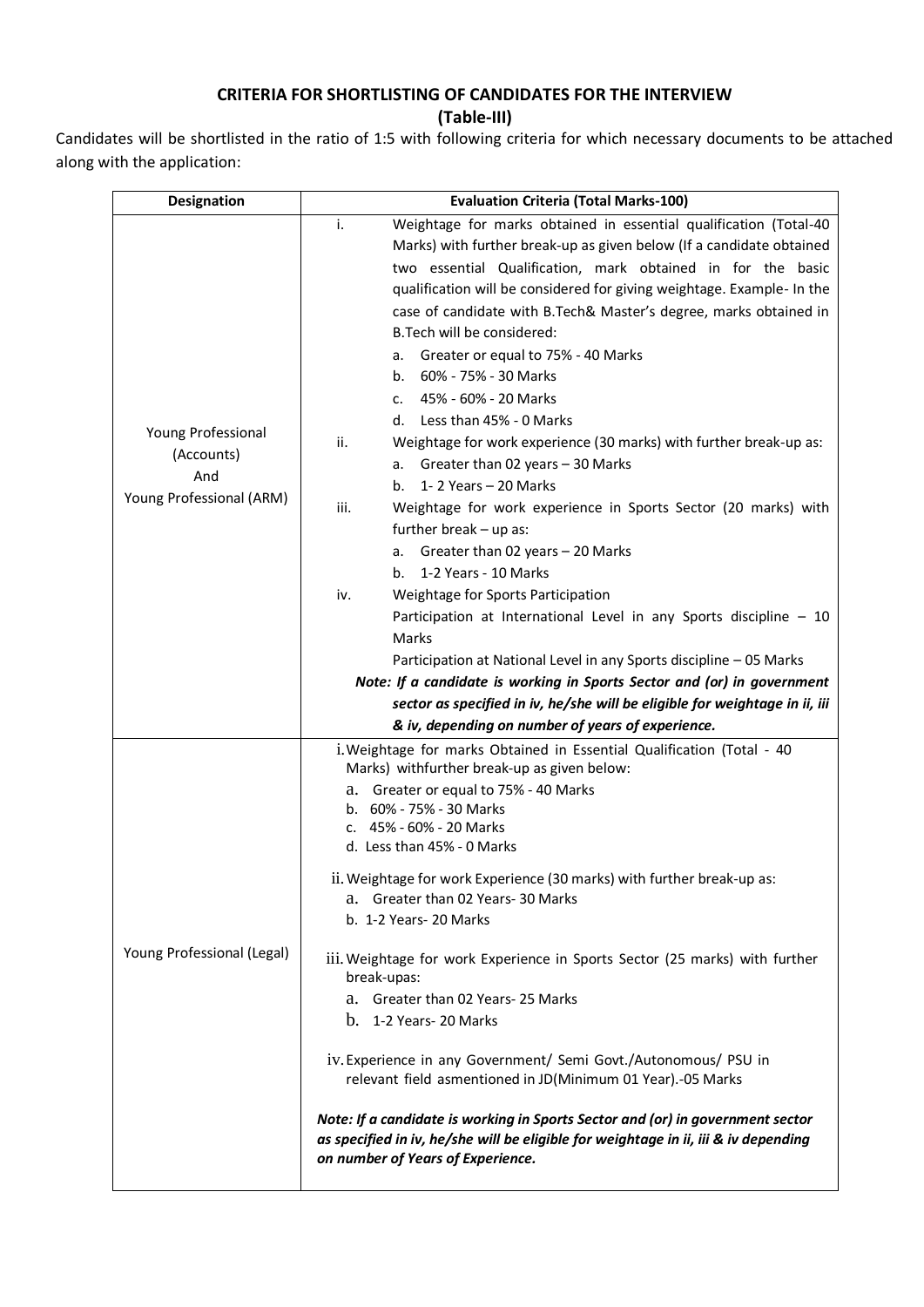#### **CRITERIA FOR SHORTLISTING OF CANDIDATES FOR THE INTERVIEW**

**(Table-III)**

Candidates will be shortlisted in the ratio of 1:5 with following criteria for which necessary documents to be attached along with the application:

| <b>Designation</b>         | <b>Evaluation Criteria (Total Marks-100)</b>                                                                                                                                                               |  |  |  |
|----------------------------|------------------------------------------------------------------------------------------------------------------------------------------------------------------------------------------------------------|--|--|--|
|                            | Weightage for marks obtained in essential qualification (Total-40<br>i.                                                                                                                                    |  |  |  |
|                            | Marks) with further break-up as given below (If a candidate obtained                                                                                                                                       |  |  |  |
|                            | two essential Qualification, mark obtained in for the basic                                                                                                                                                |  |  |  |
|                            | qualification will be considered for giving weightage. Example- In the                                                                                                                                     |  |  |  |
|                            | case of candidate with B.Tech& Master's degree, marks obtained in                                                                                                                                          |  |  |  |
|                            | B. Tech will be considered:                                                                                                                                                                                |  |  |  |
|                            | a. Greater or equal to 75% - 40 Marks                                                                                                                                                                      |  |  |  |
|                            | 60% - 75% - 30 Marks<br>b.                                                                                                                                                                                 |  |  |  |
|                            | c. 45% - 60% - 20 Marks                                                                                                                                                                                    |  |  |  |
| Young Professional         | d. Less than 45% - 0 Marks                                                                                                                                                                                 |  |  |  |
| (Accounts)                 | ii.<br>Weightage for work experience (30 marks) with further break-up as:                                                                                                                                  |  |  |  |
| And                        | a. Greater than 02 years - 30 Marks                                                                                                                                                                        |  |  |  |
| Young Professional (ARM)   | 1-2 Years - 20 Marks<br>b.                                                                                                                                                                                 |  |  |  |
|                            | Weightage for work experience in Sports Sector (20 marks) with<br>iii.                                                                                                                                     |  |  |  |
|                            | further break - up as:                                                                                                                                                                                     |  |  |  |
|                            | a. Greater than 02 years - 20 Marks                                                                                                                                                                        |  |  |  |
|                            | 1-2 Years - 10 Marks<br>b.                                                                                                                                                                                 |  |  |  |
|                            | Weightage for Sports Participation<br>iv.                                                                                                                                                                  |  |  |  |
|                            | Participation at International Level in any Sports discipline - 10                                                                                                                                         |  |  |  |
|                            | <b>Marks</b>                                                                                                                                                                                               |  |  |  |
|                            | Participation at National Level in any Sports discipline - 05 Marks                                                                                                                                        |  |  |  |
|                            | Note: If a candidate is working in Sports Sector and (or) in government                                                                                                                                    |  |  |  |
|                            | sector as specified in iv, he/she will be eligible for weightage in ii, iii                                                                                                                                |  |  |  |
|                            | & iv, depending on number of years of experience.                                                                                                                                                          |  |  |  |
|                            | i. Weightage for marks Obtained in Essential Qualification (Total - 40                                                                                                                                     |  |  |  |
|                            | Marks) withfurther break-up as given below:                                                                                                                                                                |  |  |  |
|                            | a. Greater or equal to 75% - 40 Marks<br>b. 60% - 75% - 30 Marks                                                                                                                                           |  |  |  |
|                            | c. 45% - 60% - 20 Marks                                                                                                                                                                                    |  |  |  |
|                            | d. Less than 45% - 0 Marks                                                                                                                                                                                 |  |  |  |
|                            |                                                                                                                                                                                                            |  |  |  |
|                            | ii. Weightage for work Experience (30 marks) with further break-up as:<br>a. Greater than 02 Years-30 Marks                                                                                                |  |  |  |
|                            | b. 1-2 Years- 20 Marks                                                                                                                                                                                     |  |  |  |
|                            |                                                                                                                                                                                                            |  |  |  |
| Young Professional (Legal) | iii. Weightage for work Experience in Sports Sector (25 marks) with further                                                                                                                                |  |  |  |
|                            | break-upas:                                                                                                                                                                                                |  |  |  |
|                            | Greater than 02 Years-25 Marks<br>а.                                                                                                                                                                       |  |  |  |
|                            | b. 1-2 Years-20 Marks                                                                                                                                                                                      |  |  |  |
|                            |                                                                                                                                                                                                            |  |  |  |
|                            | iv. Experience in any Government/ Semi Govt./Autonomous/ PSU in                                                                                                                                            |  |  |  |
|                            | relevant field asmentioned in JD(Minimum 01 Year).-05 Marks                                                                                                                                                |  |  |  |
|                            | Note: If a candidate is working in Sports Sector and (or) in government sector<br>as specified in iv, he/she will be eligible for weightage in ii, iii & iv depending<br>on number of Years of Experience. |  |  |  |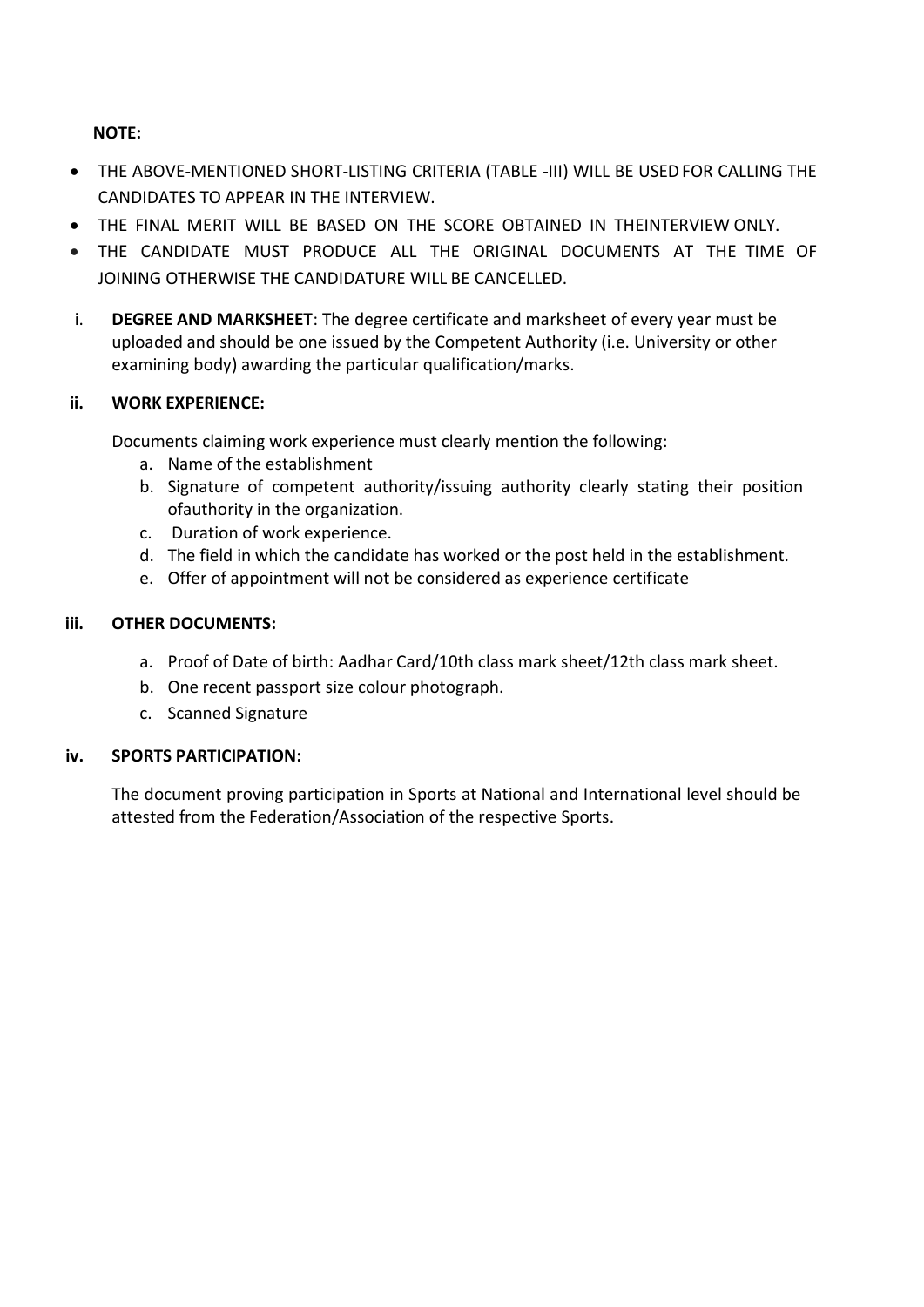**NOTE:**

- THE ABOVE-MENTIONED SHORT-LISTING CRITERIA (TABLE -III) WILL BE USEDFOR CALLING THE CANDIDATES TO APPEAR IN THE INTERVIEW.
- THE FINAL MERIT WILL BE BASED ON THE SCORE OBTAINED IN THEINTERVIEW ONLY.
- THE CANDIDATE MUST PRODUCE ALL THE ORIGINAL DOCUMENTS AT THE TIME OF JOINING OTHERWISE THE CANDIDATURE WILL BE CANCELLED.
- i. **DEGREE AND MARKSHEET**: The degree certificate and marksheet of every year must be uploaded and should be one issued by the Competent Authority (i.e. University or other examining body) awarding the particular qualification/marks.

## **ii. WORK EXPERIENCE:**

Documents claiming work experience must clearly mention the following:

- a. Name of the establishment
- b. Signature of competent authority/issuing authority clearly stating their position ofauthority in the organization.
- c. Duration of work experience.
- d. The field in which the candidate has worked or the post held in the establishment.
- e. Offer of appointment will not be considered as experience certificate

## **iii. OTHER DOCUMENTS:**

- a. Proof of Date of birth: Aadhar Card/10th class mark sheet/12th class mark sheet.
- b. One recent passport size colour photograph.
- c. Scanned Signature

## **iv. SPORTS PARTICIPATION:**

The document proving participation in Sports at National and International level should be attested from the Federation/Association of the respective Sports.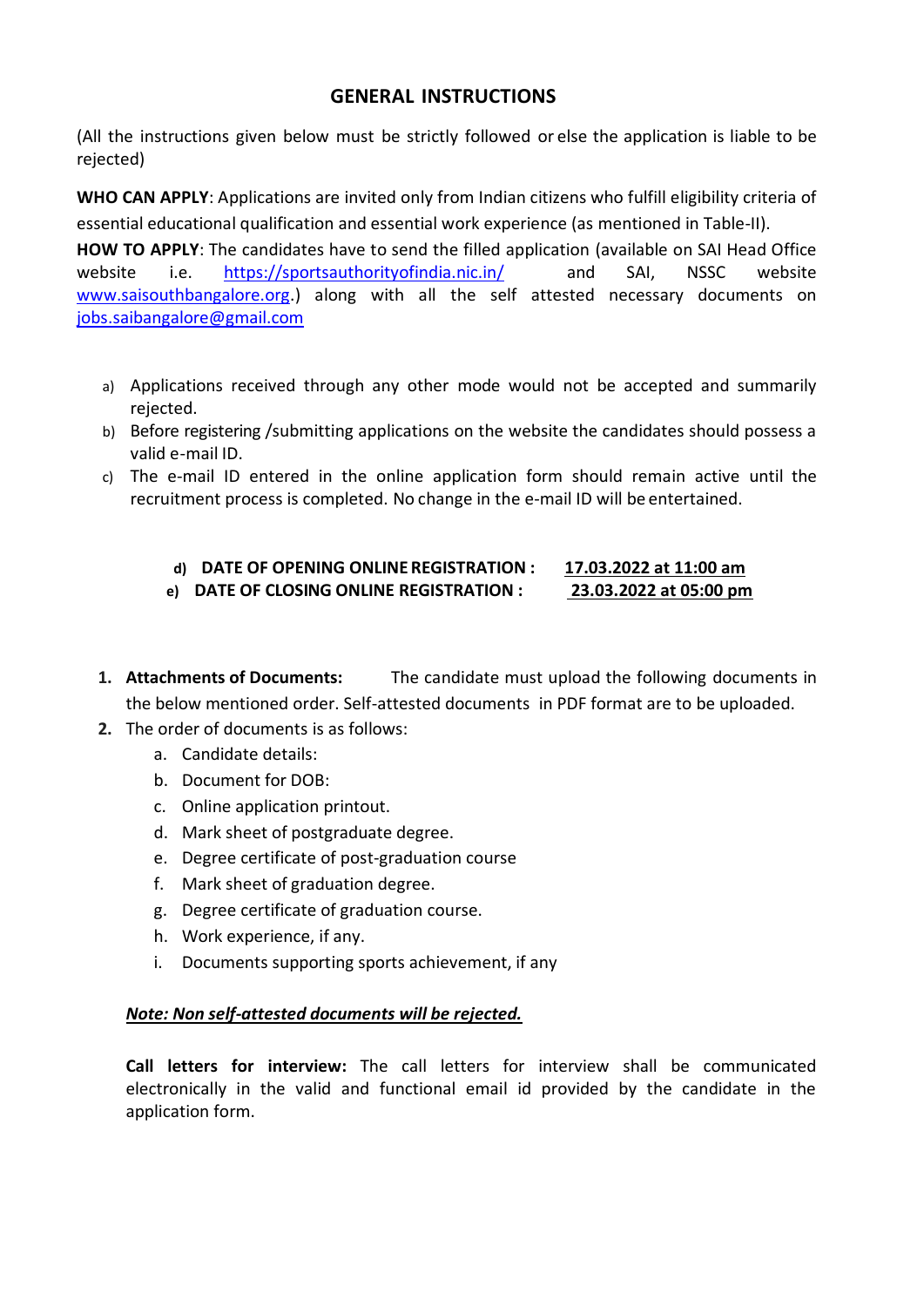## **GENERAL INSTRUCTIONS**

(All the instructions given below must be strictly followed or else the application is liable to be rejected)

**WHO CAN APPLY**: Applications are invited only from Indian citizens who fulfill eligibility criteria of essential educational qualification and essential work experience (as mentioned in Table-II).

**HOW TO APPLY**: The candidates have to send the filled application (available on SAI Head Office website i.e. <https://sportsauthorityofindia.nic.in/>and SAI, NSSC website [www.saisouthbangalore.org.](http://www.saisouthbangalore.org/)) along with all the self attested necessary documents on [jobs.saibangalore@gmail.com](mailto:jobs.saibangalore@gmail.com)

- a) Applications received through any other mode would not be accepted and summarily rejected.
- b) Before registering /submitting applications on the website the candidates should possess a valid e-mail ID.
- c) The e-mail ID entered in the online application form should remain active until the recruitment process is completed. No change in the e-mail ID will be entertained.

#### **d) DATE OF OPENING ONLINE REGISTRATION : 17.03.2022 at 11:00 am e) DATE OF CLOSING ONLINE REGISTRATION : 23.03.2022 at 05:00 pm**

- **1. Attachments of Documents:** The candidate must upload the following documents in the below mentioned order. Self-attested documents in PDF format are to be uploaded.
- **2.** The order of documents is as follows:
	- a. Candidate details:
	- b. Document for DOB:
	- c. Online application printout.
	- d. Mark sheet of postgraduate degree.
	- e. Degree certificate of post-graduation course
	- f. Mark sheet of graduation degree.
	- g. Degree certificate of graduation course.
	- h. Work experience, if any.
	- i. Documents supporting sports achievement, if any

#### *Note: Non self-attested documents will be rejected.*

**Call letters for interview:** The call letters for interview shall be communicated electronically in the valid and functional email id provided by the candidate in the application form.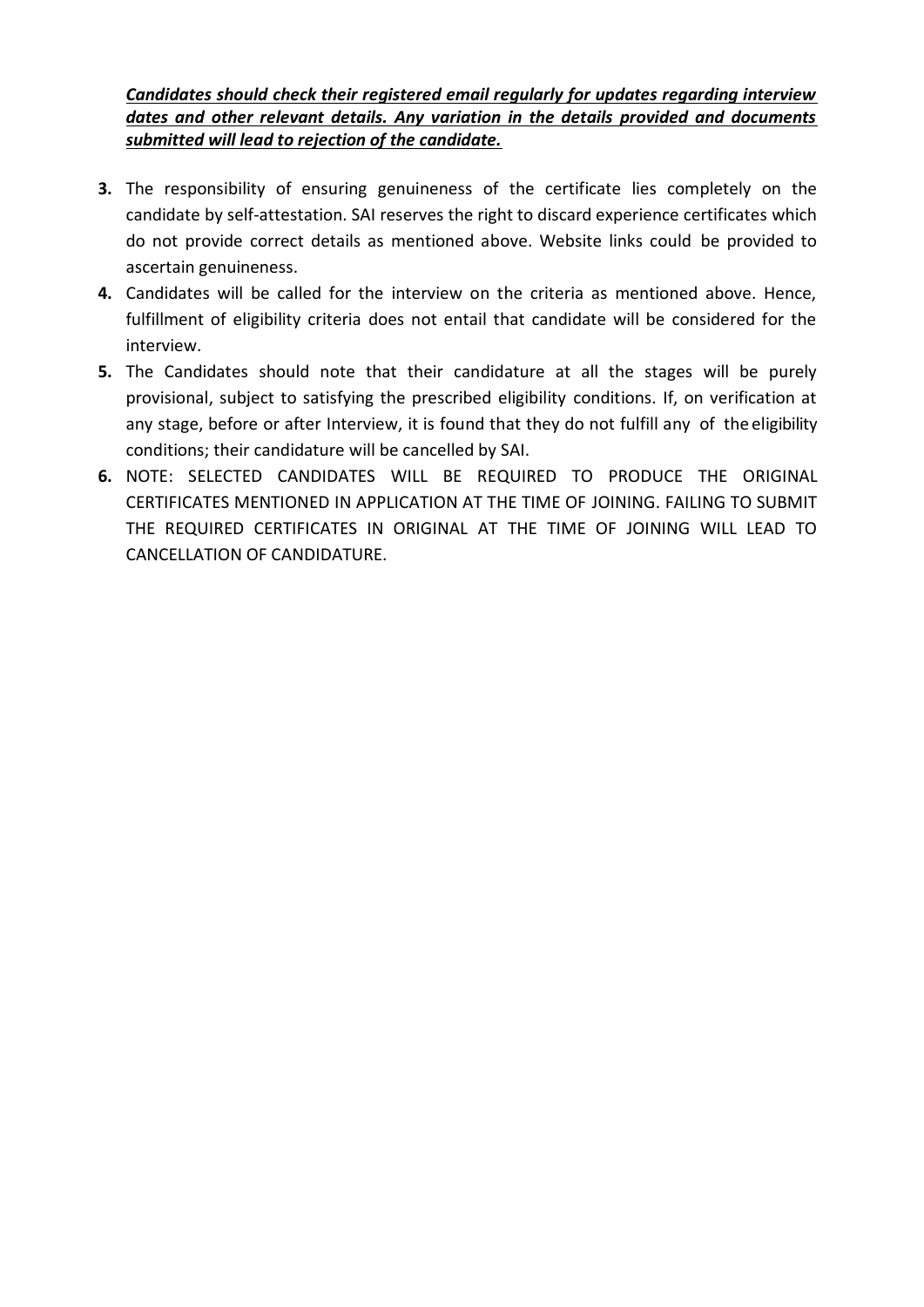*Candidates should check their registered email regularly for updates regarding interview dates and other relevant details. Any variation in the details provided and documents submitted will lead to rejection of the candidate.*

- **3.** The responsibility of ensuring genuineness of the certificate lies completely on the candidate by self-attestation. SAI reserves the right to discard experience certificates which do not provide correct details as mentioned above. Website links could be provided to ascertain genuineness.
- **4.** Candidates will be called for the interview on the criteria as mentioned above. Hence, fulfillment of eligibility criteria does not entail that candidate will be considered for the interview.
- **5.** The Candidates should note that their candidature at all the stages will be purely provisional, subject to satisfying the prescribed eligibility conditions. If, on verification at any stage, before or after Interview, it is found that they do not fulfill any of the eligibility conditions; their candidature will be cancelled by SAI.
- **6.** NOTE: SELECTED CANDIDATES WILL BE REQUIRED TO PRODUCE THE ORIGINAL CERTIFICATES MENTIONED IN APPLICATION AT THE TIME OF JOINING. FAILING TO SUBMIT THE REQUIRED CERTIFICATES IN ORIGINAL AT THE TIME OF JOINING WILL LEAD TO CANCELLATION OF CANDIDATURE.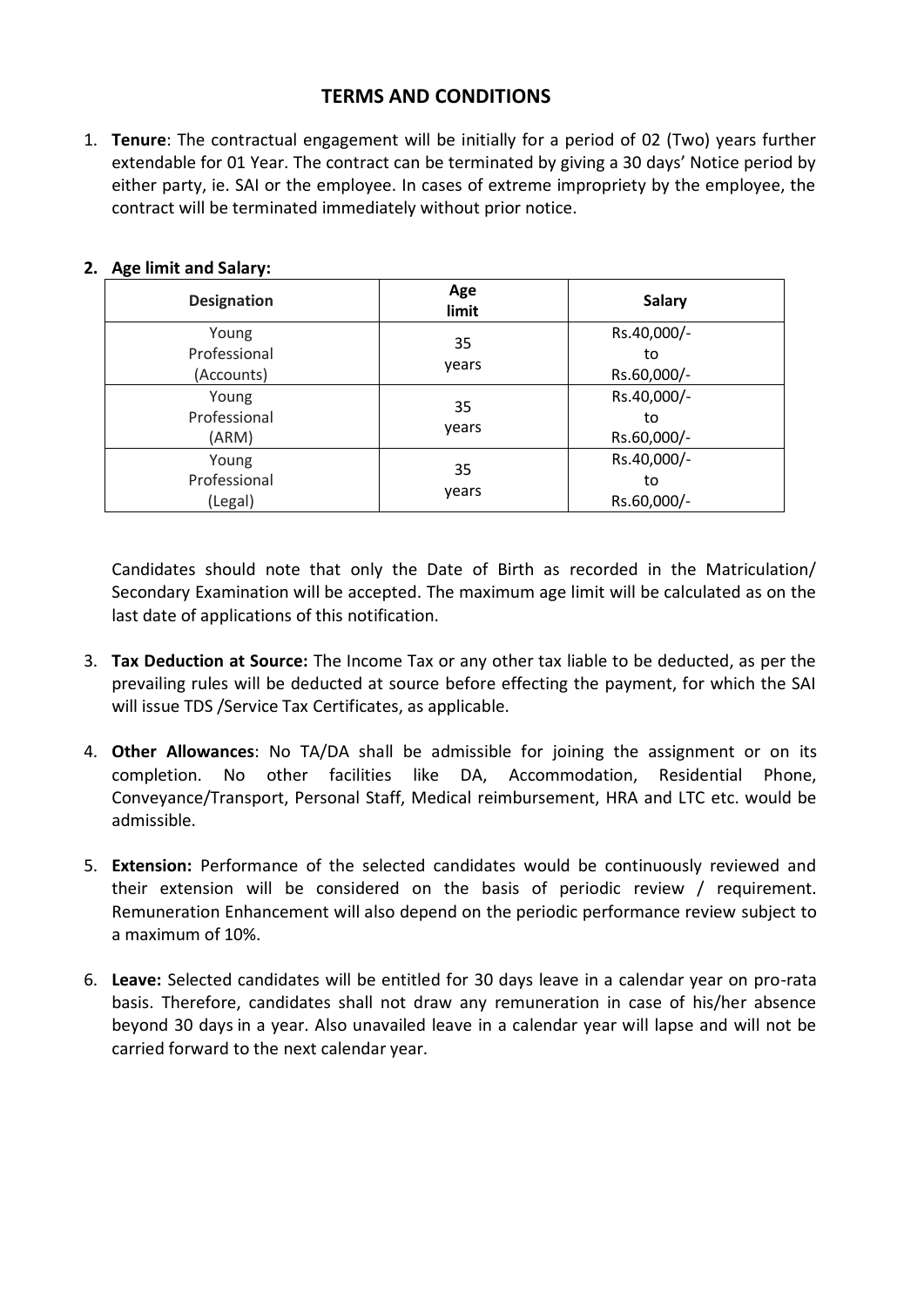## **TERMS AND CONDITIONS**

1. **Tenure**: The contractual engagement will be initially for a period of 02 (Two) years further extendable for 01 Year. The contract can be terminated by giving a 30 days' Notice period by either party, ie. SAI or the employee. In cases of extreme impropriety by the employee, the contract will be terminated immediately without prior notice.

| <b>Designation</b>                  | Age<br>limit | <b>Salary</b>                    |
|-------------------------------------|--------------|----------------------------------|
| Young<br>Professional<br>(Accounts) | 35<br>years  | Rs.40,000/-<br>to<br>Rs.60,000/- |
| Young<br>Professional<br>(ARM)      | 35<br>years  | Rs.40,000/-<br>to<br>Rs.60,000/- |
| Young<br>Professional<br>(Legal)    | 35<br>years  | Rs.40,000/-<br>to<br>Rs.60,000/- |

#### **2. Age limit and Salary:**

Candidates should note that only the Date of Birth as recorded in the Matriculation/ Secondary Examination will be accepted. The maximum age limit will be calculated as on the last date of applications of this notification.

- 3. **Tax Deduction at Source:** The Income Tax or any other tax liable to be deducted, as per the prevailing rules will be deducted at source before effecting the payment, for which the SAI will issue TDS /Service Tax Certificates, as applicable.
- 4. **Other Allowances**: No TA/DA shall be admissible for joining the assignment or on its completion. No other facilities like DA, Accommodation, Residential Phone, Conveyance/Transport, Personal Staff, Medical reimbursement, HRA and LTC etc. would be admissible.
- 5. **Extension:** Performance of the selected candidates would be continuously reviewed and their extension will be considered on the basis of periodic review / requirement. Remuneration Enhancement will also depend on the periodic performance review subject to a maximum of 10%.
- 6. **Leave:** Selected candidates will be entitled for 30 days leave in a calendar year on pro-rata basis. Therefore, candidates shall not draw any remuneration in case of his/her absence beyond 30 days in a year. Also unavailed leave in a calendar year will lapse and will not be carried forward to the next calendar year.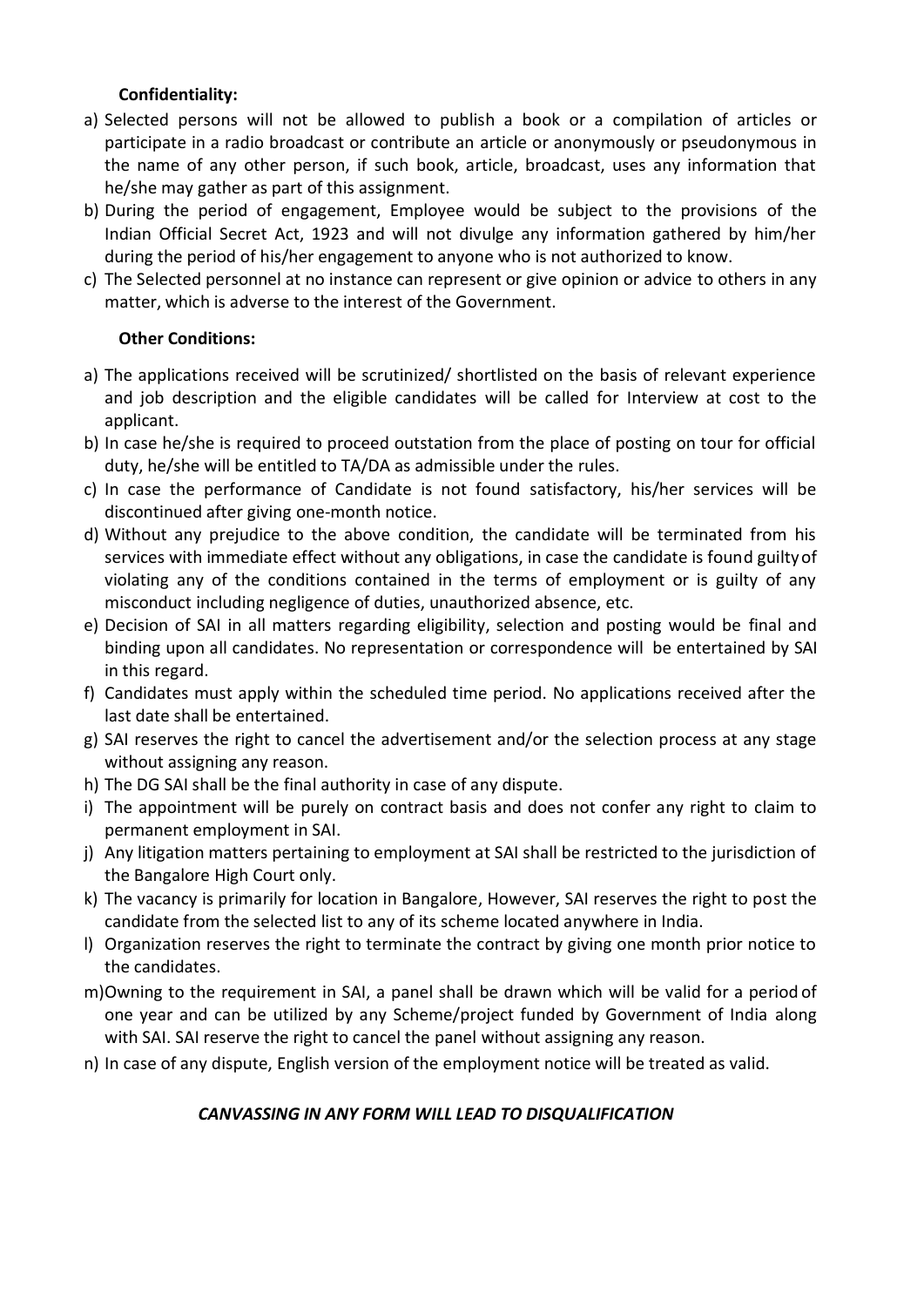## **Confidentiality:**

- a) Selected persons will not be allowed to publish a book or a compilation of articles or participate in a radio broadcast or contribute an article or anonymously or pseudonymous in the name of any other person, if such book, article, broadcast, uses any information that he/she may gather as part of this assignment.
- b) During the period of engagement, Employee would be subject to the provisions of the Indian Official Secret Act, 1923 and will not divulge any information gathered by him/her during the period of his/her engagement to anyone who is not authorized to know.
- c) The Selected personnel at no instance can represent or give opinion or advice to others in any matter, which is adverse to the interest of the Government.

## **Other Conditions:**

- a) The applications received will be scrutinized/ shortlisted on the basis of relevant experience and job description and the eligible candidates will be called for Interview at cost to the applicant.
- b) In case he/she is required to proceed outstation from the place of posting on tour for official duty, he/she will be entitled to TA/DA as admissible under the rules.
- c) In case the performance of Candidate is not found satisfactory, his/her services will be discontinued after giving one-month notice.
- d) Without any prejudice to the above condition, the candidate will be terminated from his services with immediate effect without any obligations, in case the candidate is found guiltyof violating any of the conditions contained in the terms of employment or is guilty of any misconduct including negligence of duties, unauthorized absence, etc.
- e) Decision of SAI in all matters regarding eligibility, selection and posting would be final and binding upon all candidates. No representation or correspondence will be entertained by SAI in this regard.
- f) Candidates must apply within the scheduled time period. No applications received after the last date shall be entertained.
- g) SAI reserves the right to cancel the advertisement and/or the selection process at any stage without assigning any reason.
- h) The DG SAI shall be the final authority in case of any dispute.
- i) The appointment will be purely on contract basis and does not confer any right to claim to permanent employment in SAI.
- j) Any litigation matters pertaining to employment at SAI shall be restricted to the jurisdiction of the Bangalore High Court only.
- k) The vacancy is primarily for location in Bangalore, However, SAI reserves the right to post the candidate from the selected list to any of its scheme located anywhere in India.
- l) Organization reserves the right to terminate the contract by giving one month prior notice to the candidates.
- m)Owning to the requirement in SAI, a panel shall be drawn which will be valid for a period of one year and can be utilized by any Scheme/project funded by Government of India along with SAI. SAI reserve the right to cancel the panel without assigning any reason.
- n) In case of any dispute, English version of the employment notice will be treated as valid.

## *CANVASSING IN ANY FORM WILL LEAD TO DISQUALIFICATION*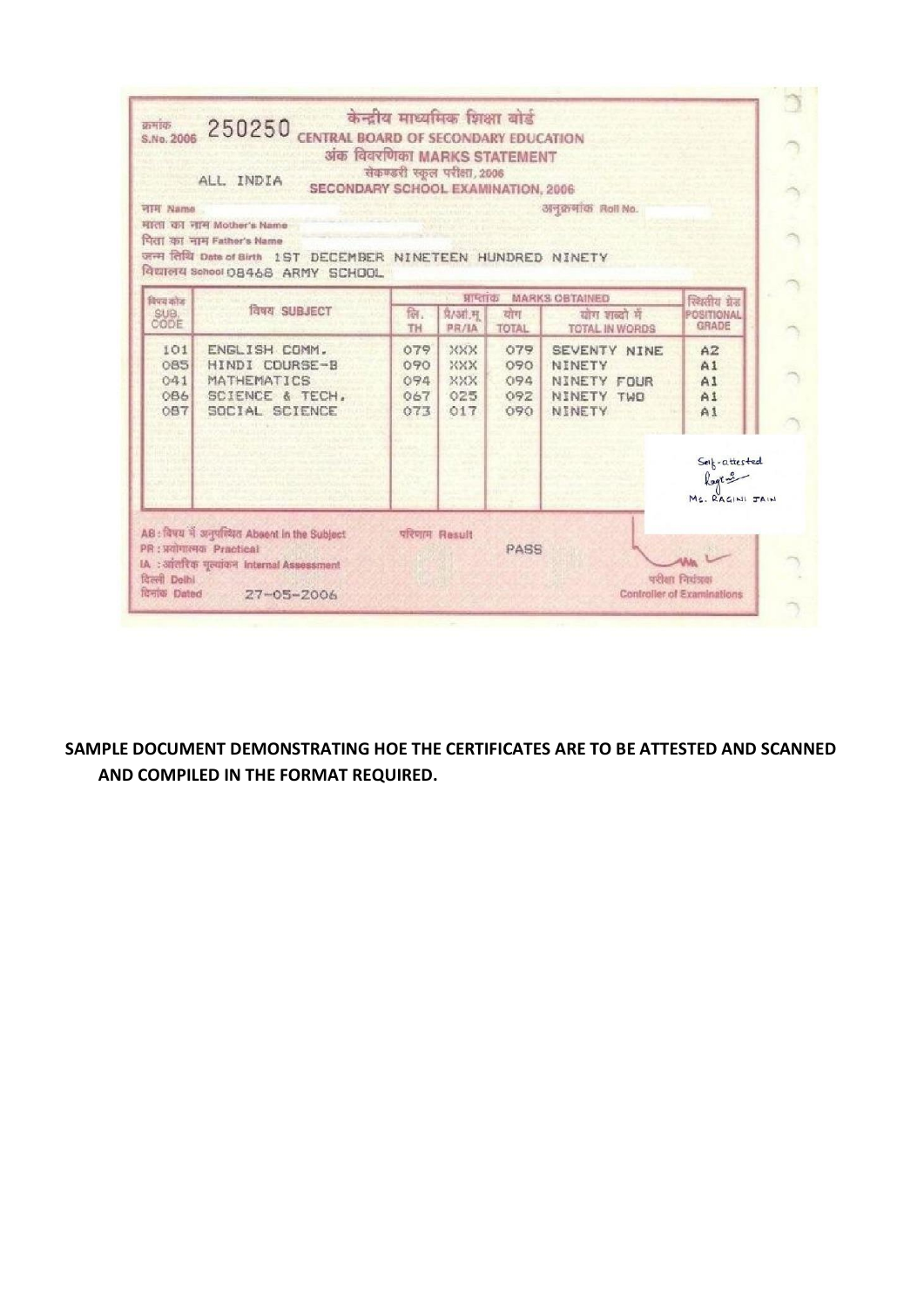

**SAMPLE DOCUMENT DEMONSTRATING HOE THE CERTIFICATES ARE TO BE ATTESTED AND SCANNED AND COMPILED IN THE FORMAT REQUIRED.**